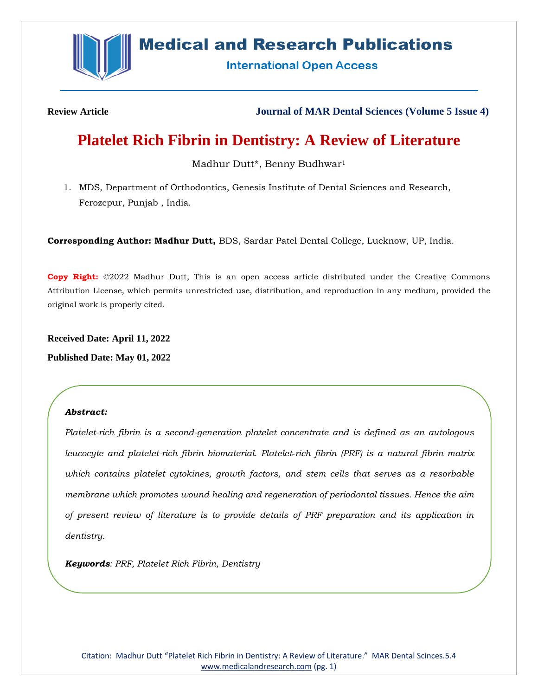

# **Medical and Research Publications**

**International Open Access** 

**Review Article Journal of MAR Dental Sciences (Volume 5 Issue 4)**

# **Platelet Rich Fibrin in Dentistry: A Review of Literature**

Madhur Dutt\*, Benny Budhwar<sup>1</sup>

1. MDS, Department of Orthodontics, Genesis Institute of Dental Sciences and Research, Ferozepur, Punjab , India.

**Corresponding Author: Madhur Dutt,** BDS, Sardar Patel Dental College, Lucknow, UP, India.

**Copy Right:** ©2022 Madhur Dutt, This is an open access article distributed under the Creative Commons Attribution License, which permits unrestricted use, distribution, and reproduction in any medium, provided the original work is properly cited.

**Received Date: April 11, 2022 Published Date: May 01, 2022**

## *Abstract:*

*Platelet-rich fibrin is a second-generation platelet concentrate and is defined as an autologous leucocyte and platelet-rich fibrin biomaterial. Platelet‑rich fibrin (PRF) is a natural fibrin matrix which contains platelet cytokines, growth factors, and stem cells that serves as a resorbable membrane which promotes wound healing and regeneration of periodontal tissues. Hence the aim of present review of literature is to provide details of PRF preparation and its application in dentistry.*

*Keywords: PRF, Platelet Rich Fibrin, Dentistry*

Citation: Madhur Dutt "Platelet Rich Fibrin in Dentistry: A Review of Literature." MAR Dental Scinces.5.4 [www.medicalandresearch.com](http://www.medicalandresearch.com/) (pg. 1)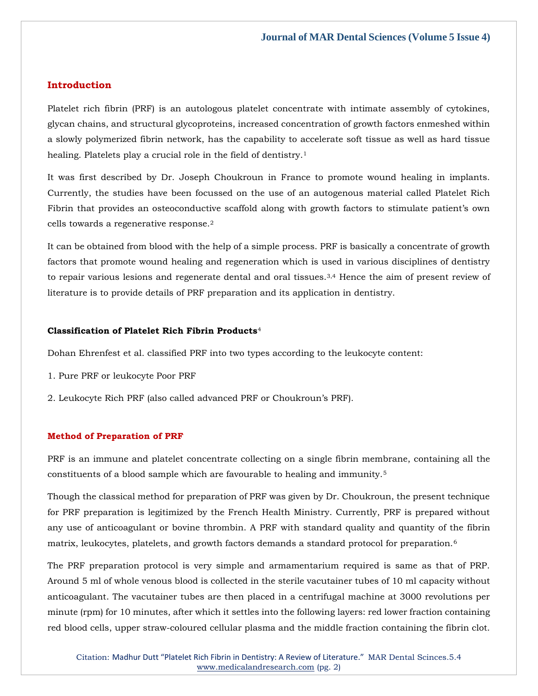## **Introduction**

Platelet rich fibrin (PRF) is an autologous platelet concentrate with intimate assembly of cytokines, glycan chains, and structural glycoproteins, increased concentration of growth factors enmeshed within a slowly polymerized fibrin network, has the capability to accelerate soft tissue as well as hard tissue healing. Platelets play a crucial role in the field of dentistry.<sup>1</sup>

It was first described by Dr. Joseph Choukroun in France to promote wound healing in implants. Currently, the studies have been focussed on the use of an autogenous material called Platelet Rich Fibrin that provides an osteoconductive scaffold along with growth factors to stimulate patient's own cells towards a regenerative response.<sup>2</sup>

It can be obtained from blood with the help of a simple process. PRF is basically a concentrate of growth factors that promote wound healing and regeneration which is used in various disciplines of dentistry to repair various lesions and regenerate dental and oral tissues.3,4 Hence the aim of present review of literature is to provide details of PRF preparation and its application in dentistry.

### **Classification of Platelet Rich Fibrin Products**<sup>4</sup>

Dohan Ehrenfest et al. classified PRF into two types according to the leukocyte content:

- 1. Pure PRF or leukocyte Poor PRF
- 2. Leukocyte Rich PRF (also called advanced PRF or Choukroun's PRF).

#### **Method of Preparation of PRF**

PRF is an immune and platelet concentrate collecting on a single fibrin membrane, containing all the constituents of a blood sample which are favourable to healing and immunity.<sup>5</sup>

Though the classical method for preparation of PRF was given by Dr. Choukroun, the present technique for PRF preparation is legitimized by the French Health Ministry. Currently, PRF is prepared without any use of anticoagulant or bovine thrombin. A PRF with standard quality and quantity of the fibrin matrix, leukocytes, platelets, and growth factors demands a standard protocol for preparation.<sup>6</sup>

The PRF preparation protocol is very simple and armamentarium required is same as that of PRP. Around 5 ml of whole venous blood is collected in the sterile vacutainer tubes of 10 ml capacity without anticoagulant. The vacutainer tubes are then placed in a centrifugal machine at 3000 revolutions per minute (rpm) for 10 minutes, after which it settles into the following layers: red lower fraction containing red blood cells, upper straw-coloured cellular plasma and the middle fraction containing the fibrin clot.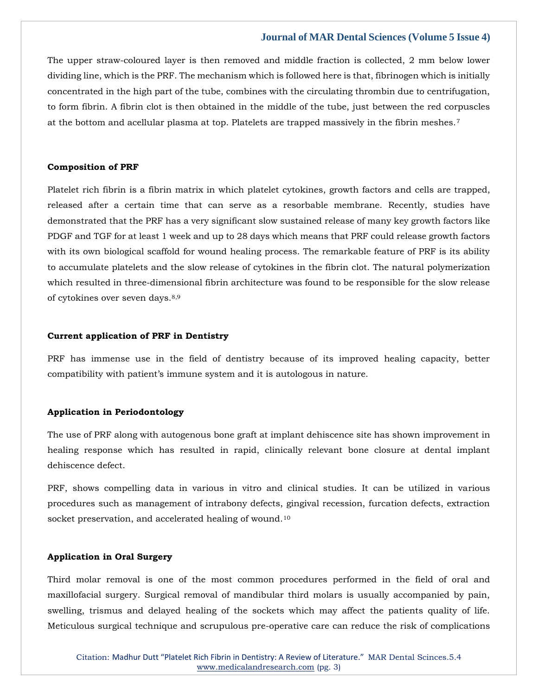The upper straw-coloured layer is then removed and middle fraction is collected, 2 mm below lower dividing line, which is the PRF. The mechanism which is followed here is that, fibrinogen which is initially concentrated in the high part of the tube, combines with the circulating thrombin due to centrifugation, to form fibrin. A fibrin clot is then obtained in the middle of the tube, just between the red corpuscles at the bottom and acellular plasma at top. Platelets are trapped massively in the fibrin meshes.<sup>7</sup>

#### **Composition of PRF**

Platelet rich fibrin is a fibrin matrix in which platelet cytokines, growth factors and cells are trapped, released after a certain time that can serve as a resorbable membrane. Recently, studies have demonstrated that the PRF has a very significant slow sustained release of many key growth factors like PDGF and TGF for at least 1 week and up to 28 days which means that PRF could release growth factors with its own biological scaffold for wound healing process. The remarkable feature of PRF is its ability to accumulate platelets and the slow release of cytokines in the fibrin clot. The natural polymerization which resulted in three-dimensional fibrin architecture was found to be responsible for the slow release of cytokines over seven days.8,9

#### **Current application of PRF in Dentistry**

PRF has immense use in the field of dentistry because of its improved healing capacity, better compatibility with patient's immune system and it is autologous in nature.

#### **Application in Periodontology**

The use of PRF along with autogenous bone graft at implant dehiscence site has shown improvement in healing response which has resulted in rapid, clinically relevant bone closure at dental implant dehiscence defect.

PRF, shows compelling data in various in vitro and clinical studies. It can be utilized in various procedures such as management of intrabony defects, gingival recession, furcation defects, extraction socket preservation, and accelerated healing of wound.<sup>10</sup>

### **Application in Oral Surgery**

Third molar removal is one of the most common procedures performed in the field of oral and maxillofacial surgery. Surgical removal of mandibular third molars is usually accompanied by pain, swelling, trismus and delayed healing of the sockets which may affect the patients quality of life. Meticulous surgical technique and scrupulous pre-operative care can reduce the risk of complications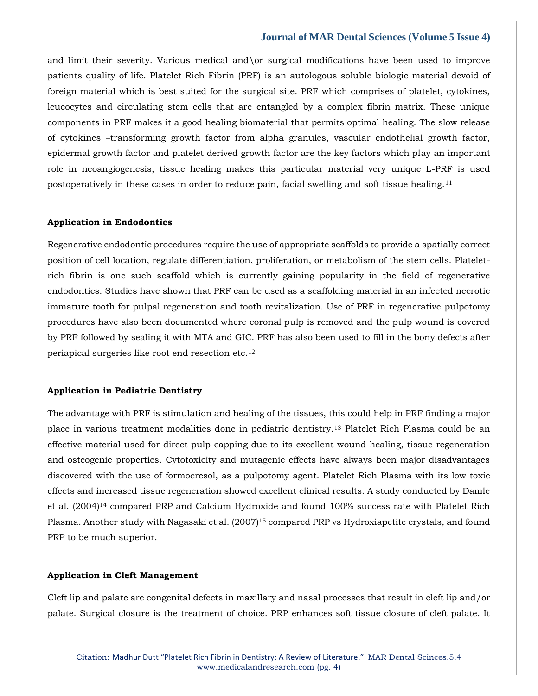and limit their severity. Various medical and\or surgical modifications have been used to improve patients quality of life. Platelet Rich Fibrin (PRF) is an autologous soluble biologic material devoid of foreign material which is best suited for the surgical site. PRF which comprises of platelet, cytokines, leucocytes and circulating stem cells that are entangled by a complex fibrin matrix. These unique components in PRF makes it a good healing biomaterial that permits optimal healing. The slow release of cytokines –transforming growth factor from alpha granules, vascular endothelial growth factor, epidermal growth factor and platelet derived growth factor are the key factors which play an important role in neoangiogenesis, tissue healing makes this particular material very unique L-PRF is used postoperatively in these cases in order to reduce pain, facial swelling and soft tissue healing.<sup>11</sup>

#### **Application in Endodontics**

Regenerative endodontic procedures require the use of appropriate scaffolds to provide a spatially correct position of cell location, regulate differentiation, proliferation, or metabolism of the stem cells. Plateletrich fibrin is one such scaffold which is currently gaining popularity in the field of regenerative endodontics. Studies have shown that PRF can be used as a scaffolding material in an infected necrotic immature tooth for pulpal regeneration and tooth revitalization. Use of PRF in regenerative pulpotomy procedures have also been documented where coronal pulp is removed and the pulp wound is covered by PRF followed by sealing it with MTA and GIC. PRF has also been used to fill in the bony defects after periapical surgeries like root end resection etc.<sup>12</sup>

#### **Application in Pediatric Dentistry**

The advantage with PRF is stimulation and healing of the tissues, this could help in PRF finding a major place in various treatment modalities done in pediatric dentistry.<sup>13</sup> Platelet Rich Plasma could be an effective material used for direct pulp capping due to its excellent wound healing, tissue regeneration and osteogenic properties. Cytotoxicity and mutagenic effects have always been major disadvantages discovered with the use of formocresol, as a pulpotomy agent. Platelet Rich Plasma with its low toxic effects and increased tissue regeneration showed excellent clinical results. A study conducted by Damle et al. (2004)<sup>14</sup> compared PRP and Calcium Hydroxide and found 100% success rate with Platelet Rich Plasma. Another study with Nagasaki et al. (2007)<sup>15</sup> compared PRP vs Hydroxiapetite crystals, and found PRP to be much superior.

#### **Application in Cleft Management**

Cleft lip and palate are congenital defects in maxillary and nasal processes that result in cleft lip and/or palate. Surgical closure is the treatment of choice. PRP enhances soft tissue closure of cleft palate. It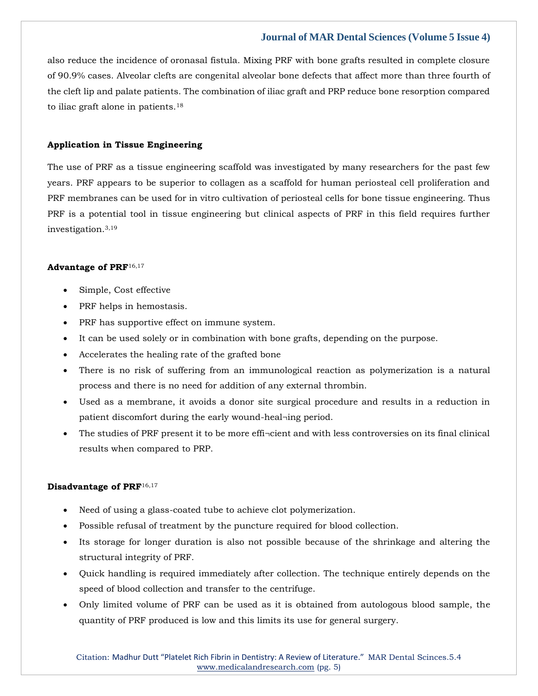also reduce the incidence of oronasal fistula. Mixing PRF with bone grafts resulted in complete closure of 90.9% cases. Alveolar clefts are congenital alveolar bone defects that affect more than three fourth of the cleft lip and palate patients. The combination of iliac graft and PRP reduce bone resorption compared to iliac graft alone in patients.<sup>18</sup>

## **Application in Tissue Engineering**

The use of PRF as a tissue engineering scaffold was investigated by many researchers for the past few years. PRF appears to be superior to collagen as a scaffold for human periosteal cell proliferation and PRF membranes can be used for in vitro cultivation of periosteal cells for bone tissue engineering. Thus PRF is a potential tool in tissue engineering but clinical aspects of PRF in this field requires further investigation.3,19

#### **Advantage of PRF**16,17

- Simple, Cost effective
- PRF helps in hemostasis.
- PRF has supportive effect on immune system.
- It can be used solely or in combination with bone grafts, depending on the purpose.
- Accelerates the healing rate of the grafted bone
- There is no risk of suffering from an immunological reaction as polymerization is a natural process and there is no need for addition of any external thrombin.
- Used as a membrane, it avoids a donor site surgical procedure and results in a reduction in patient discomfort during the early wound-heal¬ing period.
- The studies of PRF present it to be more effi-cient and with less controversies on its final clinical results when compared to PRP.

#### **Disadvantage of PRF**16,17

- Need of using a glass-coated tube to achieve clot polymerization.
- Possible refusal of treatment by the puncture required for blood collection.
- Its storage for longer duration is also not possible because of the shrinkage and altering the structural integrity of PRF.
- Quick handling is required immediately after collection. The technique entirely depends on the speed of blood collection and transfer to the centrifuge.
- Only limited volume of PRF can be used as it is obtained from autologous blood sample, the quantity of PRF produced is low and this limits its use for general surgery.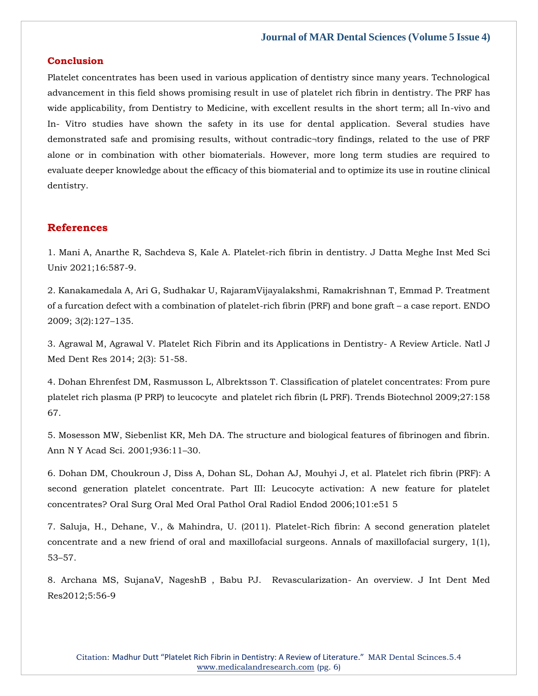## **Conclusion**

Platelet concentrates has been used in various application of dentistry since many years. Technological advancement in this field shows promising result in use of platelet rich fibrin in dentistry. The PRF has wide applicability, from Dentistry to Medicine, with excellent results in the short term; all In-vivo and In- Vitro studies have shown the safety in its use for dental application. Several studies have demonstrated safe and promising results, without contradic¬tory findings, related to the use of PRF alone or in combination with other biomaterials. However, more long term studies are required to evaluate deeper knowledge about the efficacy of this biomaterial and to optimize its use in routine clinical dentistry.

## **References**

[1. Mani A, Anarthe R, Sachdeva S, Kale A. Platelet-rich fibrin in dentistry. J Datta Meghe Inst Med Sci](https://www.google.com/search?q=Platelet-rich+fibrin+in+dentistry&sxsrf=APq-WBs2-YeWU5E-tZ2isL6NNcH0ukGX2A%3A1649914611974&ei=87JXYvL_Opzbz7sPuMajkAs&ved=0ahUKEwiyxezy6pL3AhWc7XMBHTjjCLIQ4dUDCA4&oq=Platelet-rich+fibrin+in+dentistry&gs_lcp=Cgdnd3Mtd2l6EAwyBQgAEIAEMgYIABAWEB4yBggAEBYQHjIGCAAQFhAeMgYIABAWEB4yBggAEBYQHjIGCAAQFhAeMgYIABAWEB4yBggAEBYQHjIGCAAQFhAeOgcIIxDqAhAnSgQIQRgASgQIRhgAUM0EWM0EYPUIaAFwAHgAgAGUA4gBlAOSAQM0LTGYAQCgAQGgAQKwAQrAAQE&sclient=gws-wiz)  [Univ 2021;16:587-9.](https://www.google.com/search?q=Platelet-rich+fibrin+in+dentistry&sxsrf=APq-WBs2-YeWU5E-tZ2isL6NNcH0ukGX2A%3A1649914611974&ei=87JXYvL_Opzbz7sPuMajkAs&ved=0ahUKEwiyxezy6pL3AhWc7XMBHTjjCLIQ4dUDCA4&oq=Platelet-rich+fibrin+in+dentistry&gs_lcp=Cgdnd3Mtd2l6EAwyBQgAEIAEMgYIABAWEB4yBggAEBYQHjIGCAAQFhAeMgYIABAWEB4yBggAEBYQHjIGCAAQFhAeMgYIABAWEB4yBggAEBYQHjIGCAAQFhAeOgcIIxDqAhAnSgQIQRgASgQIRhgAUM0EWM0EYPUIaAFwAHgAgAGUA4gBlAOSAQM0LTGYAQCgAQGgAQKwAQrAAQE&sclient=gws-wiz)

2. Kanakamedala A, Ari [G, Sudhakar U, RajaramVijayalakshmi, Ramakrishnan T, Emmad P. Treatment](https://www.google.com/search?q=Treatment+of+a+furcation+defect+with+a+combination+of+platelet-rich+fibrin+%28PRF%29+and+bone+graft+%E2%80%93+a+case+report&sxsrf=APq-WBvyFhUQlTpO6qB-NyXkzAH-m0hpVw%3A1649916173322&ei=DblXYqGeE_fAz7sPoN2w6A8&ved=0ahUKEwjh2K3b8JL3AhV34HMBHaAuDP0Q4dUDCA4&oq=Treatment+of+a+furcation+defect+with+a+combination+of+platelet-rich+fibrin+%28PRF%29+and+bone+graft+%E2%80%93+a+case+report&gs_lcp=Cgdnd3Mtd2l6EAwyBwgjEOoCECcyBwgjEOoCECcyBwgjEOoCECcyBwgjEOoCECcyBwgjEOoCECcyBwgjEOoCECcyBwgjEOoCECcyBwgjEOoCECcyBwgjEOoCECcyBwgjEOoCECdKBAhBGABKBAhGGABQ_wJY_wJg6whoAXABeACAAQCIAQCSAQCYAQCgAQGgAQKwAQrAAQE&sclient=gws-wiz)  [of a furcation defect with a combination of platelet-rich fibrin \(PRF\) and bone graft](https://www.google.com/search?q=Treatment+of+a+furcation+defect+with+a+combination+of+platelet-rich+fibrin+%28PRF%29+and+bone+graft+%E2%80%93+a+case+report&sxsrf=APq-WBvyFhUQlTpO6qB-NyXkzAH-m0hpVw%3A1649916173322&ei=DblXYqGeE_fAz7sPoN2w6A8&ved=0ahUKEwjh2K3b8JL3AhV34HMBHaAuDP0Q4dUDCA4&oq=Treatment+of+a+furcation+defect+with+a+combination+of+platelet-rich+fibrin+%28PRF%29+and+bone+graft+%E2%80%93+a+case+report&gs_lcp=Cgdnd3Mtd2l6EAwyBwgjEOoCECcyBwgjEOoCECcyBwgjEOoCECcyBwgjEOoCECcyBwgjEOoCECcyBwgjEOoCECcyBwgjEOoCECcyBwgjEOoCECcyBwgjEOoCECcyBwgjEOoCECdKBAhBGABKBAhGGABQ_wJY_wJg6whoAXABeACAAQCIAQCSAQCYAQCgAQGgAQKwAQrAAQE&sclient=gws-wiz) – a case report. ENDO [2009; 3\(2\):127](https://www.google.com/search?q=Treatment+of+a+furcation+defect+with+a+combination+of+platelet-rich+fibrin+%28PRF%29+and+bone+graft+%E2%80%93+a+case+report&sxsrf=APq-WBvyFhUQlTpO6qB-NyXkzAH-m0hpVw%3A1649916173322&ei=DblXYqGeE_fAz7sPoN2w6A8&ved=0ahUKEwjh2K3b8JL3AhV34HMBHaAuDP0Q4dUDCA4&oq=Treatment+of+a+furcation+defect+with+a+combination+of+platelet-rich+fibrin+%28PRF%29+and+bone+graft+%E2%80%93+a+case+report&gs_lcp=Cgdnd3Mtd2l6EAwyBwgjEOoCECcyBwgjEOoCECcyBwgjEOoCECcyBwgjEOoCECcyBwgjEOoCECcyBwgjEOoCECcyBwgjEOoCECcyBwgjEOoCECcyBwgjEOoCECcyBwgjEOoCECdKBAhBGABKBAhGGABQ_wJY_wJg6whoAXABeACAAQCIAQCSAQCYAQCgAQGgAQKwAQrAAQE&sclient=gws-wiz)–135.

[3. Agrawal M, Agrawal V. Platelet Rich Fibrin and its Applications in Dentistry-](https://www.google.com/search?q=Platelet+Rich+Fibrin+and+its+Applications+in+Dentistry-+A+Review+Article&sxsrf=APq-WBudQ5SB2dy3CfRUaQX_HYbHzbIqeg%3A1649916194466&ei=IrlXYu2LHJvB3LUPzbqc2A0&ved=0ahUKEwjtpLjl8JL3AhWbILcAHU0dB9sQ4dUDCA4&oq=Platelet+Rich+Fibrin+and+its+Applications+in+Dentistry-+A+Review+Article&gs_lcp=Cgdnd3Mtd2l6EAwyBAgAEB46BwgjEOoCECdKBAhBGABKBAhGGABQgANYgANg-AZoAXABeACAAWyIAWySAQMwLjGYAQCgAQGgAQKwAQrAAQE&sclient=gws-wiz) A Review Article. Natl J Med [Dent Res 2014; 2\(3\): 51-58.](https://www.google.com/search?q=Platelet+Rich+Fibrin+and+its+Applications+in+Dentistry-+A+Review+Article&sxsrf=APq-WBudQ5SB2dy3CfRUaQX_HYbHzbIqeg%3A1649916194466&ei=IrlXYu2LHJvB3LUPzbqc2A0&ved=0ahUKEwjtpLjl8JL3AhWbILcAHU0dB9sQ4dUDCA4&oq=Platelet+Rich+Fibrin+and+its+Applications+in+Dentistry-+A+Review+Article&gs_lcp=Cgdnd3Mtd2l6EAwyBAgAEB46BwgjEOoCECdKBAhBGABKBAhGGABQgANYgANg-AZoAXABeACAAWyIAWySAQMwLjGYAQCgAQGgAQKwAQrAAQE&sclient=gws-wiz)

[4. Dohan Ehrenfest DM, Rasmusson L, Albrektsson T. Classification of platelet concentrates: From pure](https://www.google.com/search?q=Classification+of+platelet+concentrates%3A+From+pure+platelet+rich+plasma+%28P+PRP%29+to+leucocyte++and+platelet+rich+fibrin+%28L+PRF%29.+&sxsrf=APq-WBt5I0rsbCv2LRag7nD6SHXdzTGPgg%3A1649916271279&ei=b7lXYuvTEOKNseMPgs-tCA&ved=0ahUKEwirx4iK8ZL3AhXiRmwGHYJnCwEQ4dUDCA4&oq=Classification+of+platelet+concentrates%3A+From+pure+platelet+rich+plasma+%28P+PRP%29+to+leucocyte++and+platelet+rich+fibrin+%28L+PRF%29.+&gs_lcp=Cgdnd3Mtd2l6EAwyBwgjEOoCECcyBwgjEOoCECcyBwgjEOoCECcyBwgjEOoCECcyBwgjEOoCECcyBwgjEOoCECcyBwgjEOoCECcyBwgjEOoCECcyBwgjEOoCECcyBwgjEOoCECdKBAhBGABKBAhGGABQhgNYhgNghAhoAXABeACAAQCIAQCSAQCYAQCgAQGgAQKwAQrAAQE&sclient=gws-wiz)  [platelet rich plasma \(P PRP\) to leucocyte and platelet rich fibrin \(L PRF\). Trends Biotechnol 2009;27:158](https://www.google.com/search?q=Classification+of+platelet+concentrates%3A+From+pure+platelet+rich+plasma+%28P+PRP%29+to+leucocyte++and+platelet+rich+fibrin+%28L+PRF%29.+&sxsrf=APq-WBt5I0rsbCv2LRag7nD6SHXdzTGPgg%3A1649916271279&ei=b7lXYuvTEOKNseMPgs-tCA&ved=0ahUKEwirx4iK8ZL3AhXiRmwGHYJnCwEQ4dUDCA4&oq=Classification+of+platelet+concentrates%3A+From+pure+platelet+rich+plasma+%28P+PRP%29+to+leucocyte++and+platelet+rich+fibrin+%28L+PRF%29.+&gs_lcp=Cgdnd3Mtd2l6EAwyBwgjEOoCECcyBwgjEOoCECcyBwgjEOoCECcyBwgjEOoCECcyBwgjEOoCECcyBwgjEOoCECcyBwgjEOoCECcyBwgjEOoCECcyBwgjEOoCECcyBwgjEOoCECdKBAhBGABKBAhGGABQhgNYhgNghAhoAXABeACAAQCIAQCSAQCYAQCgAQGgAQKwAQrAAQE&sclient=gws-wiz)  [67.](https://www.google.com/search?q=Classification+of+platelet+concentrates%3A+From+pure+platelet+rich+plasma+%28P+PRP%29+to+leucocyte++and+platelet+rich+fibrin+%28L+PRF%29.+&sxsrf=APq-WBt5I0rsbCv2LRag7nD6SHXdzTGPgg%3A1649916271279&ei=b7lXYuvTEOKNseMPgs-tCA&ved=0ahUKEwirx4iK8ZL3AhXiRmwGHYJnCwEQ4dUDCA4&oq=Classification+of+platelet+concentrates%3A+From+pure+platelet+rich+plasma+%28P+PRP%29+to+leucocyte++and+platelet+rich+fibrin+%28L+PRF%29.+&gs_lcp=Cgdnd3Mtd2l6EAwyBwgjEOoCECcyBwgjEOoCECcyBwgjEOoCECcyBwgjEOoCECcyBwgjEOoCECcyBwgjEOoCECcyBwgjEOoCECcyBwgjEOoCECcyBwgjEOoCECcyBwgjEOoCECdKBAhBGABKBAhGGABQhgNYhgNghAhoAXABeACAAQCIAQCSAQCYAQCgAQGgAQKwAQrAAQE&sclient=gws-wiz)

[5. Mosesson MW, Siebenlist KR, Meh DA. The structure and biological features of fibrinogen and fibrin.](https://www.google.com/search?q=The+structure+and+biological+features+of+fibrinogen+and+fibrin.+&sxsrf=APq-WBsYIzY3mKy0B9LNLcuelx7u28ytCw%3A1649916290905&ei=grlXYpPlNqG0mgeAmongCA&ved=0ahUKEwiTrraT8ZL3AhUhmuYKHQBNAowQ4dUDCA4&oq=The+structure+and+biological+features+of+fibrinogen+and+fibrin.+&gs_lcp=Cgdnd3Mtd2l6EAwyBggAEBYQHjoHCCMQ6gIQJ0oECEEYAEoECEYYAFD2AVj2AWCZBWgBcAF4AIABdYgBdZIBAzAuMZgBAKABAaABArABCsABAQ&sclient=gws-wiz)  [Ann N Y Acad Sci. 2001;936:11](https://www.google.com/search?q=The+structure+and+biological+features+of+fibrinogen+and+fibrin.+&sxsrf=APq-WBsYIzY3mKy0B9LNLcuelx7u28ytCw%3A1649916290905&ei=grlXYpPlNqG0mgeAmongCA&ved=0ahUKEwiTrraT8ZL3AhUhmuYKHQBNAowQ4dUDCA4&oq=The+structure+and+biological+features+of+fibrinogen+and+fibrin.+&gs_lcp=Cgdnd3Mtd2l6EAwyBggAEBYQHjoHCCMQ6gIQJ0oECEEYAEoECEYYAFD2AVj2AWCZBWgBcAF4AIABdYgBdZIBAzAuMZgBAKABAaABArABCsABAQ&sclient=gws-wiz)–30.

[6. Dohan DM, Choukroun J, Diss A, Dohan SL, Dohan AJ,](https://www.google.com/search?q=Platelet+rich+fibrin+%28PRF%29%3A+A+second+generation+platelet+concentrate.+Part+III%3A+Leucocyte+activation%3A+A+new+feature+for+platelet+concentrates%3F&sxsrf=APq-WBtJMSIwi1G2GPUNDIZYvpo8Y5muOw%3A1649916305100&ei=kblXYs_UBauNseMPypy1qAE&ved=0ahUKEwiP4Zia8ZL3AhWrRmwGHUpODRUQ4dUDCA4&oq=Platelet+rich+fibrin+%28PRF%29%3A+A+second+generation+platelet+concentrate.+Part+III%3A+Leucocyte+activation%3A+A+new+feature+for+platelet+concentrates%3F&gs_lcp=Cgdnd3Mtd2l6EAwyBwgjEOoCECcyBwgjEOoCECcyBwgjEOoCECcyBwgjEOoCECcyBwgjEOoCECcyBwgjEOoCECcyBwgjEOoCECcyBwgjEOoCECcyBwgjEOoCECcyBwgjEOoCECdKBAhBGABKBAhGGABQogNYogNg0gpoAXABeACAAQCIAQCSAQCYAQCgAQGgAQKwAQrAAQE&sclient=gws-wiz) Mouhyi J, et al. Platelet rich fibrin (PRF): A [second generation platelet concentrate. Part III: Leucocyte activation: A new feature for platelet](https://www.google.com/search?q=Platelet+rich+fibrin+%28PRF%29%3A+A+second+generation+platelet+concentrate.+Part+III%3A+Leucocyte+activation%3A+A+new+feature+for+platelet+concentrates%3F&sxsrf=APq-WBtJMSIwi1G2GPUNDIZYvpo8Y5muOw%3A1649916305100&ei=kblXYs_UBauNseMPypy1qAE&ved=0ahUKEwiP4Zia8ZL3AhWrRmwGHUpODRUQ4dUDCA4&oq=Platelet+rich+fibrin+%28PRF%29%3A+A+second+generation+platelet+concentrate.+Part+III%3A+Leucocyte+activation%3A+A+new+feature+for+platelet+concentrates%3F&gs_lcp=Cgdnd3Mtd2l6EAwyBwgjEOoCECcyBwgjEOoCECcyBwgjEOoCECcyBwgjEOoCECcyBwgjEOoCECcyBwgjEOoCECcyBwgjEOoCECcyBwgjEOoCECcyBwgjEOoCECcyBwgjEOoCECdKBAhBGABKBAhGGABQogNYogNg0gpoAXABeACAAQCIAQCSAQCYAQCgAQGgAQKwAQrAAQE&sclient=gws-wiz)  [concentrates? Oral Surg Oral Med Oral Pathol Oral Radiol Endod 2006;101:e51 5](https://www.google.com/search?q=Platelet+rich+fibrin+%28PRF%29%3A+A+second+generation+platelet+concentrate.+Part+III%3A+Leucocyte+activation%3A+A+new+feature+for+platelet+concentrates%3F&sxsrf=APq-WBtJMSIwi1G2GPUNDIZYvpo8Y5muOw%3A1649916305100&ei=kblXYs_UBauNseMPypy1qAE&ved=0ahUKEwiP4Zia8ZL3AhWrRmwGHUpODRUQ4dUDCA4&oq=Platelet+rich+fibrin+%28PRF%29%3A+A+second+generation+platelet+concentrate.+Part+III%3A+Leucocyte+activation%3A+A+new+feature+for+platelet+concentrates%3F&gs_lcp=Cgdnd3Mtd2l6EAwyBwgjEOoCECcyBwgjEOoCECcyBwgjEOoCECcyBwgjEOoCECcyBwgjEOoCECcyBwgjEOoCECcyBwgjEOoCECcyBwgjEOoCECcyBwgjEOoCECcyBwgjEOoCECdKBAhBGABKBAhGGABQogNYogNg0gpoAXABeACAAQCIAQCSAQCYAQCgAQGgAQKwAQrAAQE&sclient=gws-wiz)

[7. Saluja, H., Dehane, V., & Mahindra, U. \(2011\). Platelet-Rich fibrin: A second generation platelet](https://www.google.com/search?q=Platelet-Rich+fibrin%3A+A+second+generation+platelet+concentrate+and+a+new+friend+of+oral+and+maxillofacial+surgeons&sxsrf=APq-WBtjDZlkuiJswv_OOzDEl4BSOBUt2Q%3A1649916323860&ei=o7lXYtqQNOnAz7sP3MCMgAw&ved=0ahUKEwia7pGj8ZL3AhVp4HMBHVwgA8AQ4dUDCA4&oq=Platelet-Rich+fibrin%3A+A+second+generation+platelet+concentrate+and+a+new+friend+of+oral+and+maxillofacial+surgeons&gs_lcp=Cgdnd3Mtd2l6EAwyBwgjEOoCECcyBwgjEOoCECcyBwgjEOoCECcyBwgjEOoCECcyBwgjEOoCECcyBwgjEOoCECcyBwgjEOoCECcyBwgjEOoCECcyBwgjEOoCECcyBwgjEOoCECdKBAhBGABKBAhGGABQlQNYlQNggghoAXABeACAAQCIAQCSAQCYAQCgAQGgAQKwAQrAAQE&sclient=gws-wiz)  [concentrate and a new friend of oral and maxillofacial surgeons. Annals of maxillofacial surgery, 1\(1\),](https://www.google.com/search?q=Platelet-Rich+fibrin%3A+A+second+generation+platelet+concentrate+and+a+new+friend+of+oral+and+maxillofacial+surgeons&sxsrf=APq-WBtjDZlkuiJswv_OOzDEl4BSOBUt2Q%3A1649916323860&ei=o7lXYtqQNOnAz7sP3MCMgAw&ved=0ahUKEwia7pGj8ZL3AhVp4HMBHVwgA8AQ4dUDCA4&oq=Platelet-Rich+fibrin%3A+A+second+generation+platelet+concentrate+and+a+new+friend+of+oral+and+maxillofacial+surgeons&gs_lcp=Cgdnd3Mtd2l6EAwyBwgjEOoCECcyBwgjEOoCECcyBwgjEOoCECcyBwgjEOoCECcyBwgjEOoCECcyBwgjEOoCECcyBwgjEOoCECcyBwgjEOoCECcyBwgjEOoCECcyBwgjEOoCECdKBAhBGABKBAhGGABQlQNYlQNggghoAXABeACAAQCIAQCSAQCYAQCgAQGgAQKwAQrAAQE&sclient=gws-wiz)  53–[57.](https://www.google.com/search?q=Platelet-Rich+fibrin%3A+A+second+generation+platelet+concentrate+and+a+new+friend+of+oral+and+maxillofacial+surgeons&sxsrf=APq-WBtjDZlkuiJswv_OOzDEl4BSOBUt2Q%3A1649916323860&ei=o7lXYtqQNOnAz7sP3MCMgAw&ved=0ahUKEwia7pGj8ZL3AhVp4HMBHVwgA8AQ4dUDCA4&oq=Platelet-Rich+fibrin%3A+A+second+generation+platelet+concentrate+and+a+new+friend+of+oral+and+maxillofacial+surgeons&gs_lcp=Cgdnd3Mtd2l6EAwyBwgjEOoCECcyBwgjEOoCECcyBwgjEOoCECcyBwgjEOoCECcyBwgjEOoCECcyBwgjEOoCECcyBwgjEOoCECcyBwgjEOoCECcyBwgjEOoCECcyBwgjEOoCECdKBAhBGABKBAhGGABQlQNYlQNggghoAXABeACAAQCIAQCSAQCYAQCgAQGgAQKwAQrAAQE&sclient=gws-wiz)

[8. Archana MS, SujanaV, NageshB , Babu PJ. Revascularization-](https://www.google.com/search?q=Revascularization-+An+overview&sxsrf=APq-WBv2ib9RBg0qBBcmlw1K24bRCFe4jQ%3A1649916340006&ei=s7lXYpn2POudseMPo7ahsAI&ved=0ahUKEwjZm-uq8ZL3AhXrTmwGHSNbCCYQ4dUDCA4&oq=Revascularization-+An+overview&gs_lcp=Cgdnd3Mtd2l6EAw6BwgjEOoCECdKBAhBGABKBAhGGABQpgNYpgNgxwZoAXABeACAAYgBiAGIAZIBAzAuMZgBAKABAaABArABCsABAQ&sclient=gws-wiz) An overview. J Int Dent Med [Res2012;5:56-9](https://www.google.com/search?q=Revascularization-+An+overview&sxsrf=APq-WBv2ib9RBg0qBBcmlw1K24bRCFe4jQ%3A1649916340006&ei=s7lXYpn2POudseMPo7ahsAI&ved=0ahUKEwjZm-uq8ZL3AhXrTmwGHSNbCCYQ4dUDCA4&oq=Revascularization-+An+overview&gs_lcp=Cgdnd3Mtd2l6EAw6BwgjEOoCECdKBAhBGABKBAhGGABQpgNYpgNgxwZoAXABeACAAYgBiAGIAZIBAzAuMZgBAKABAaABArABCsABAQ&sclient=gws-wiz)